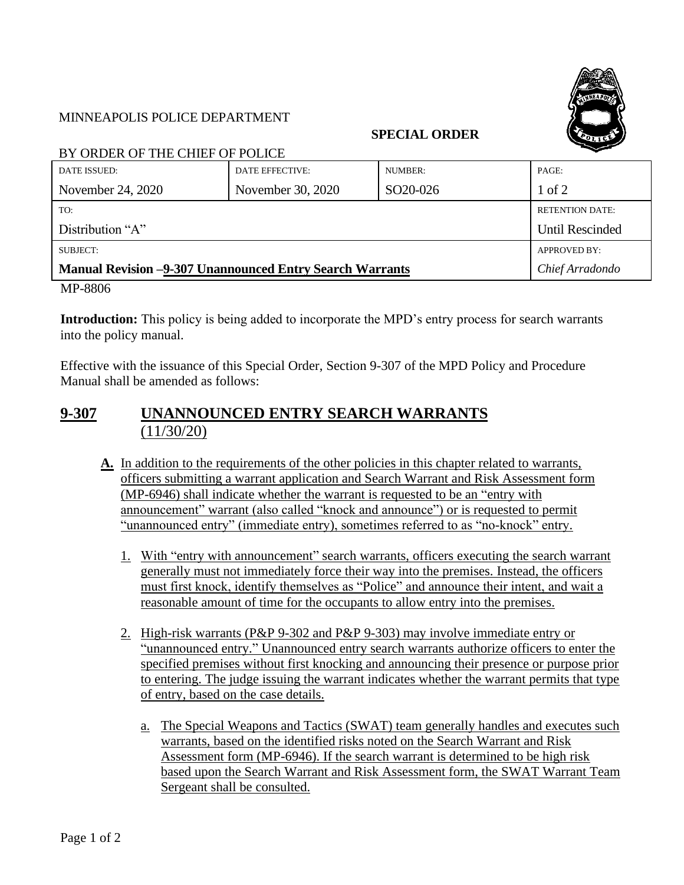

## MINNEAPOLIS POLICE DEPARTMENT

## **SPECIAL ORDER**

BY ORDER OF THE CHIEF OF POLICE

| DATE ISSUED:                                                    | DATE EFFECTIVE:   | NUMBER:               | PAGE:                  |
|-----------------------------------------------------------------|-------------------|-----------------------|------------------------|
| November 24, 2020                                               | November 30, 2020 | SO <sub>20</sub> -026 | $1$ of $2$             |
| TO:                                                             |                   |                       | <b>RETENTION DATE:</b> |
| Distribution "A"                                                |                   |                       | <b>Until Rescinded</b> |
| SUBJECT:                                                        |                   |                       | APPROVED BY:           |
| <b>Manual Revision -9-307 Unannounced Entry Search Warrants</b> |                   |                       | Chief Arradondo        |

MP-8806

**Introduction:** This policy is being added to incorporate the MPD's entry process for search warrants into the policy manual.

Effective with the issuance of this Special Order, Section 9-307 of the MPD Policy and Procedure Manual shall be amended as follows:

## **9-307 UNANNOUNCED ENTRY SEARCH WARRANTS**  $(11/30/20)$

- **A.** In addition to the requirements of the other policies in this chapter related to warrants, officers submitting a warrant application and Search Warrant and Risk Assessment form (MP-6946) shall indicate whether the warrant is requested to be an "entry with announcement" warrant (also called "knock and announce") or is requested to permit "unannounced entry" (immediate entry), sometimes referred to as "no-knock" entry.
	- 1. With "entry with announcement" search warrants, officers executing the search warrant generally must not immediately force their way into the premises. Instead, the officers must first knock, identify themselves as "Police" and announce their intent, and wait a reasonable amount of time for the occupants to allow entry into the premises.
	- 2. High-risk warrants (P&P 9-302 and P&P 9-303) may involve immediate entry or "unannounced entry." Unannounced entry search warrants authorize officers to enter the specified premises without first knocking and announcing their presence or purpose prior to entering. The judge issuing the warrant indicates whether the warrant permits that type of entry, based on the case details.
		- a. The Special Weapons and Tactics (SWAT) team generally handles and executes such warrants, based on the identified risks noted on the Search Warrant and Risk Assessment form (MP-6946). If the search warrant is determined to be high risk based upon the Search Warrant and Risk Assessment form, the SWAT Warrant Team Sergeant shall be consulted.